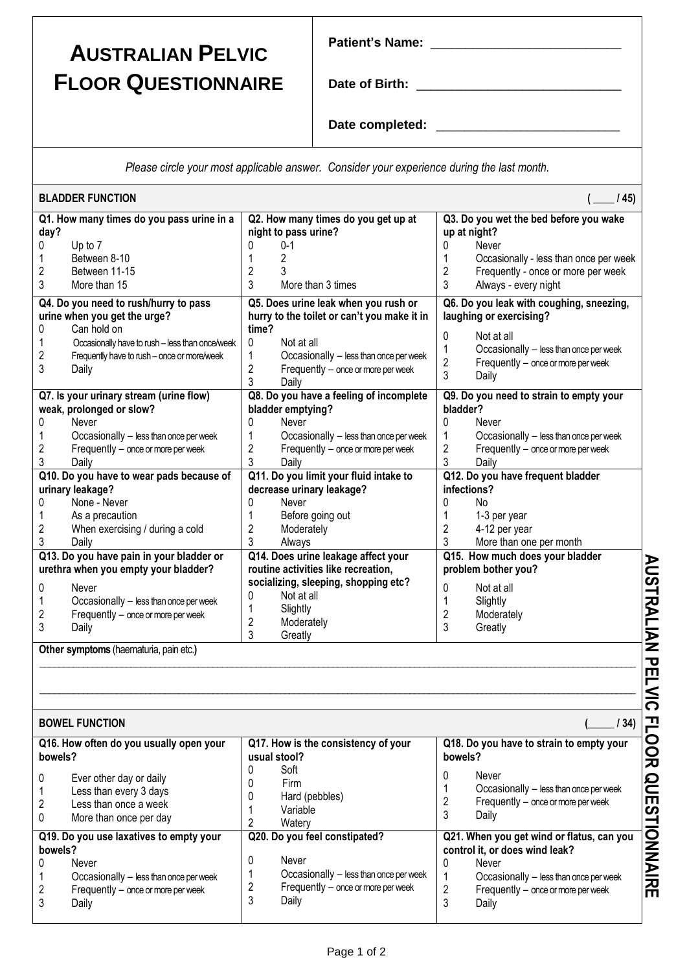## **AUSTRALIAN PELVIC FLOOR QUESTIONNAIRE**

| Date of Birth: |  |  |
|----------------|--|--|

**Patient's Name:** \_\_\_\_\_\_\_\_\_\_\_\_\_\_\_\_\_\_\_\_\_\_\_\_\_\_\_

Date completed:

*Please circle your most applicable answer. Consider your experience during the last month.*

|                | <b>BLADDER FUNCTION</b>                         |                                                             |                | (45)                                                     |
|----------------|-------------------------------------------------|-------------------------------------------------------------|----------------|----------------------------------------------------------|
| day?           | Q1. How many times do you pass urine in a       | Q2. How many times do you get up at<br>night to pass urine? | up at night?   | Q3. Do you wet the bed before you wake                   |
| 0              | Up to 7                                         | $0 - 1$<br>0                                                | 0              | Never                                                    |
| 1              | Between 8-10                                    | 1<br>2                                                      | 1              | Occasionally - less than once per week                   |
| $\overline{c}$ | Between 11-15                                   | $\overline{c}$<br>3                                         | $\overline{2}$ | Frequently - once or more per week                       |
| 3              | More than 15                                    | 3<br>More than 3 times                                      | 3              | Always - every night                                     |
|                | Q4. Do you need to rush/hurry to pass           | Q5. Does urine leak when you rush or                        |                | Q6. Do you leak with coughing, sneezing,                 |
|                | urine when you get the urge?                    | hurry to the toilet or can't you make it in                 |                | laughing or exercising?                                  |
| 0              | Can hold on                                     | time?                                                       |                |                                                          |
| 1              | Occasionally have to rush - less than once/week | 0<br>Not at all                                             | 0              | Not at all                                               |
| $\overline{c}$ | Frequently have to rush - once or more/week     | 1<br>Occasionally - less than once per week                 | 1              | Occasionally - less than once per week                   |
| 3              | Daily                                           | 2<br>Frequently - once or more per week                     | $\overline{2}$ | Frequently - once or more per week                       |
|                |                                                 | 3<br>Daily                                                  | 3              | Daily                                                    |
|                | Q7. Is your urinary stream (urine flow)         | Q8. Do you have a feeling of incomplete                     |                | Q9. Do you need to strain to empty your                  |
|                | weak, prolonged or slow?                        | bladder emptying?                                           | bladder?       |                                                          |
| 0              | Never                                           | 0<br>Never                                                  | $\Omega$       | Never                                                    |
| 1              | Occasionally - less than once per week          | 1<br>Occasionally - less than once per week                 | 1              | Occasionally - less than once per week                   |
| 2              | Frequently - once or more per week              | 2<br>Frequently - once or more per week                     | 2              | Frequently - once or more per week                       |
| 3              | Daily                                           | 3<br>Daily                                                  | 3              | Daily                                                    |
|                | Q10. Do you have to wear pads because of        | Q11. Do you limit your fluid intake to                      |                | Q12. Do you have frequent bladder                        |
|                | urinary leakage?                                | decrease urinary leakage?                                   | infections?    |                                                          |
| 0              | None - Never                                    | 0<br>Never                                                  | $\Omega$       | <b>No</b>                                                |
| 1              | As a precaution                                 | 1<br>Before going out                                       | 1              | 1-3 per year                                             |
| 2              | When exercising / during a cold                 | $\overline{c}$<br>Moderately                                | 2              | 4-12 per year                                            |
| 3              | Daily                                           | 3<br>Always                                                 | 3              | More than one per month                                  |
|                | Q13. Do you have pain in your bladder or        | Q14. Does urine leakage affect your                         |                | Q15. How much does your bladder                          |
|                | urethra when you empty your bladder?            | routine activities like recreation,                         |                | problem bother you?                                      |
| 0              | Never                                           | socializing, sleeping, shopping etc?                        | 0              | Not at all                                               |
| 1              | Occasionally - less than once per week          | 0<br>Not at all                                             | 1              | Slightly                                                 |
| 2              | Frequently - once or more per week              | Slightly<br>1                                               | $\overline{2}$ | Moderately                                               |
| 3              | Daily                                           | $\overline{2}$<br>Moderately                                | 3              | Greatly                                                  |
|                |                                                 | 3<br>Greatly                                                |                |                                                          |
|                | Other symptoms (haematuria, pain etc.)          |                                                             |                |                                                          |
|                |                                                 |                                                             |                |                                                          |
|                |                                                 |                                                             |                |                                                          |
|                |                                                 |                                                             |                |                                                          |
|                |                                                 |                                                             |                |                                                          |
|                | <b>BOWEL FUNCTION</b>                           |                                                             |                | 134)                                                     |
| bowels?        | Q16. How often do you usually open your         | Q17. How is the consistency of your<br>usual stool?         | bowels?        | Q18. Do you have to strain to empty your                 |
|                |                                                 | 0<br>Soft                                                   |                |                                                          |
| 0              | Ever other day or daily                         | 0<br>Firm                                                   | 0              | Never<br>$O_{\text{meas}}$ is a seller set that $\theta$ |